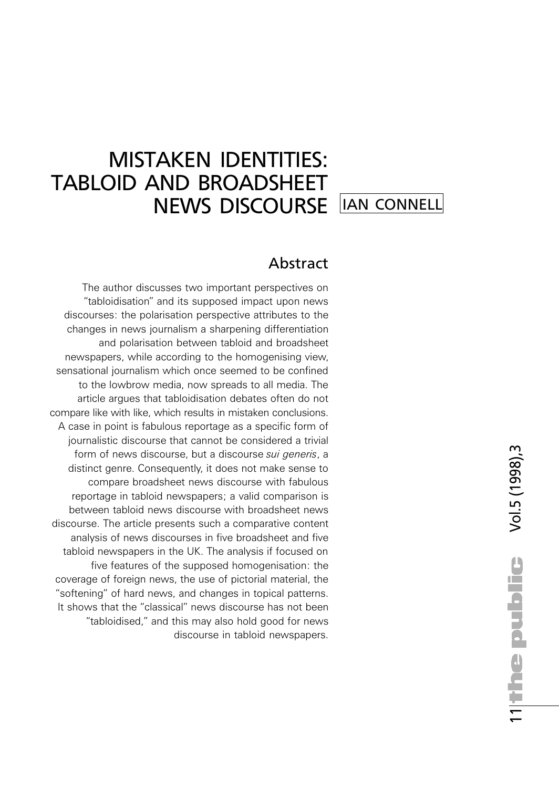# MISTAKEN IDENTITIES: TABLOID AND BROADSHEET NEWS DISCOURSE LAN CONNELL

### Abstract

The author discusses two important perspectives on "tabloidisation" and its supposed impact upon news discourses: the polarisation perspective attributes to the changes in news journalism a sharpening differentiation and polarisation between tabloid and broadsheet newspapers, while according to the homogenising view, sensational journalism which once seemed to be confined to the lowbrow media, now spreads to all media. The article argues that tabloidisation debates often do not compare like with like, which results in mistaken conclusions. A case in point is fabulous reportage as a specific form of journalistic discourse that cannot be considered a trivial form of news discourse, but a discourse sui generis, a distinct genre. Consequently, it does not make sense to compare broadsheet news discourse with fabulous reportage in tabloid newspapers; a valid comparison is between tabloid news discourse with broadsheet news discourse. The article presents such a comparative content analysis of news discourses in five broadsheet and five tabloid newspapers in the UK. The analysis if focused on five features of the supposed homogenisation: the coverage of foreign news, the use of pictorial material, the "softening" of hard news, and changes in topical patterns. It shows that the "classical" news discourse has not been "tabloidised," and this may also hold good for news discourse in tabloid newspapers.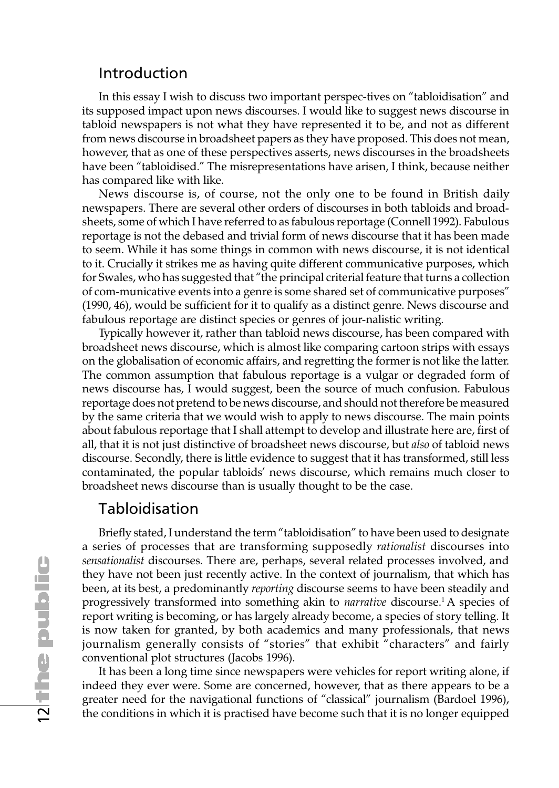## Introduction

In this essay I wish to discuss two important perspec-tives on "tabloidisation" and its supposed impact upon news discourses. I would like to suggest news discourse in tabloid newspapers is not what they have represented it to be, and not as different from news discourse in broadsheet papers as they have proposed. This does not mean, however, that as one of these perspectives asserts, news discourses in the broadsheets have been "tabloidised." The misrepresentations have arisen, I think, because neither has compared like with like.

News discourse is, of course, not the only one to be found in British daily newspapers. There are several other orders of discourses in both tabloids and broadsheets, some of which I have referred to as fabulous reportage (Connell 1992). Fabulous reportage is not the debased and trivial form of news discourse that it has been made to seem. While it has some things in common with news discourse, it is not identical to it. Crucially it strikes me as having quite different communicative purposes, which for Swales, who has suggested that "the principal criterial feature that turns a collection of com-municative events into a genre is some shared set of communicative purposes (1990, 46), would be sufficient for it to qualify as a distinct genre. News discourse and fabulous reportage are distinct species or genres of jour-nalistic writing.

Typically however it, rather than tabloid news discourse, has been compared with broadsheet news discourse, which is almost like comparing cartoon strips with essays on the globalisation of economic affairs, and regretting the former is not like the latter. The common assumption that fabulous reportage is a vulgar or degraded form of news discourse has, I would suggest, been the source of much confusion. Fabulous reportage does not pretend to be news discourse, and should not therefore be measured by the same criteria that we would wish to apply to news discourse. The main points about fabulous reportage that I shall attempt to develop and illustrate here are, first of all, that it is not just distinctive of broadsheet news discourse, but *also* of tabloid news discourse. Secondly, there is little evidence to suggest that it has transformed, still less contaminated, the popular tabloids' news discourse, which remains much closer to broadsheet news discourse than is usually thought to be the case.

## Tabloidisation

Briefly stated, I understand the term "tabloidisation" to have been used to designate a series of processes that are transforming supposedly rationalist discourses into sensationalist discourses. There are, perhaps, several related processes involved, and they have not been just recently active. In the context of journalism, that which has been, at its best, a predominantly *reporting* discourse seems to have been steadily and progressively transformed into something akin to narrative discourse.1 A species of report writing is becoming, or has largely already become, a species of story telling. It is now taken for granted, by both academics and many professionals, that news journalism generally consists of "stories" that exhibit "characters" and fairly conventional plot structures (Jacobs 1996).

It has been a long time since newspapers were vehicles for report writing alone, if indeed they ever were. Some are concerned, however, that as there appears to be a greater need for the navigational functions of "classical" journalism (Bardoel 1996), the conditions in which it is practised have become such that it is no longer equipped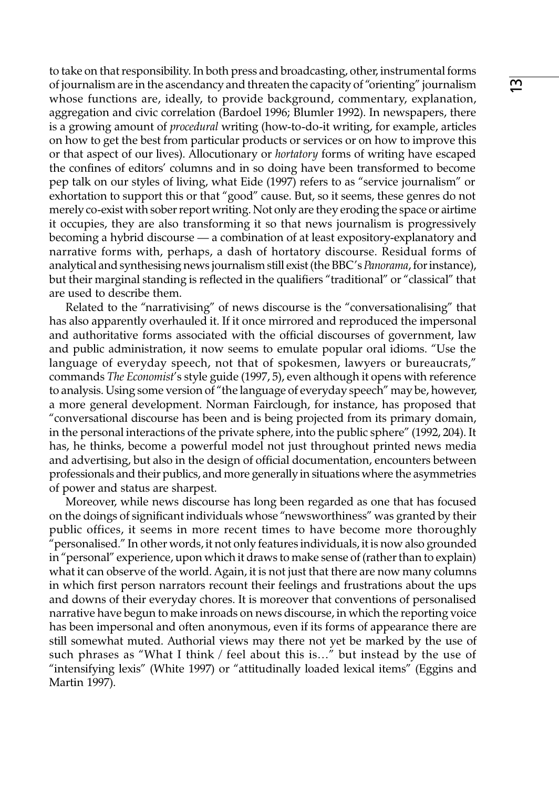$\overline{3}$ 

to take on that responsibility. In both press and broadcasting, other, instrumental forms of journalism are in the ascendancy and threaten the capacity of "orienting" journalism whose functions are, ideally, to provide background, commentary, explanation, aggregation and civic correlation (Bardoel 1996; Blumler 1992). In newspapers, there is a growing amount of procedural writing (how-to-do-it writing, for example, articles on how to get the best from particular products or services or on how to improve this or that aspect of our lives). Allocutionary or hortatory forms of writing have escaped the confines of editors' columns and in so doing have been transformed to become pep talk on our styles of living, what Eide (1997) refers to as "service journalism" or exhortation to support this or that "good" cause. But, so it seems, these genres do not merely co-exist with sober report writing. Not only are they eroding the space or airtime it occupies, they are also transforming it so that news journalism is progressively becoming a hybrid discourse — a combination of at least expository-explanatory and narrative forms with, perhaps, a dash of hortatory discourse. Residual forms of analytical and synthesising news journalism still exist (the BBC's Panorama, for instance), but their marginal standing is reflected in the qualifiers "traditional" or "classical" that are used to describe them.

Related to the "narrativising" of news discourse is the "conversationalising" that has also apparently overhauled it. If it once mirrored and reproduced the impersonal and authoritative forms associated with the official discourses of government, law and public administration, it now seems to emulate popular oral idioms. "Use the language of everyday speech, not that of spokesmen, lawyers or bureaucrats," commands The Economist's style guide (1997, 5), even although it opens with reference to analysis. Using some version of "the language of everyday speech" may be, however, a more general development. Norman Fairclough, for instance, has proposed that conversational discourse has been and is being projected from its primary domain, in the personal interactions of the private sphere, into the public sphere" (1992, 204). It has, he thinks, become a powerful model not just throughout printed news media and advertising, but also in the design of official documentation, encounters between professionals and their publics, and more generally in situations where the asymmetries of power and status are sharpest.

Moreover, while news discourse has long been regarded as one that has focused on the doings of significant individuals whose "newsworthiness" was granted by their public offices, it seems in more recent times to have become more thoroughly "personalised." In other words, it not only features individuals, it is now also grounded in "personal" experience, upon which it draws to make sense of (rather than to explain) what it can observe of the world. Again, it is not just that there are now many columns in which first person narrators recount their feelings and frustrations about the ups and downs of their everyday chores. It is moreover that conventions of personalised narrative have begun to make inroads on news discourse, in which the reporting voice has been impersonal and often anonymous, even if its forms of appearance there are still somewhat muted. Authorial views may there not yet be marked by the use of such phrases as "What I think / feel about this is..." but instead by the use of "intensifying lexis" (White 1997) or "attitudinally loaded lexical items" (Eggins and Martin 1997).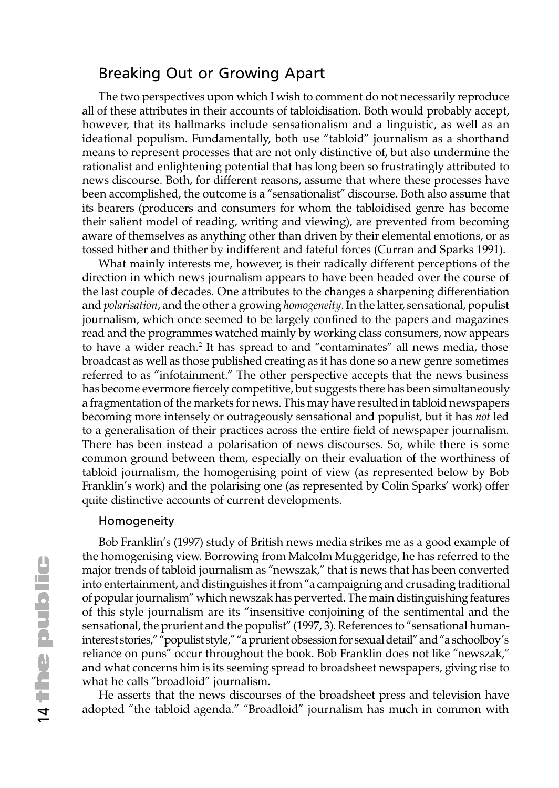### Breaking Out or Growing Apart

The two perspectives upon which I wish to comment do not necessarily reproduce all of these attributes in their accounts of tabloidisation. Both would probably accept, however, that its hallmarks include sensationalism and a linguistic, as well as an ideational populism. Fundamentally, both use "tabloid" journalism as a shorthand means to represent processes that are not only distinctive of, but also undermine the rationalist and enlightening potential that has long been so frustratingly attributed to news discourse. Both, for different reasons, assume that where these processes have been accomplished, the outcome is a "sensationalist" discourse. Both also assume that its bearers (producers and consumers for whom the tabloidised genre has become their salient model of reading, writing and viewing), are prevented from becoming aware of themselves as anything other than driven by their elemental emotions, or as tossed hither and thither by indifferent and fateful forces (Curran and Sparks 1991).

What mainly interests me, however, is their radically different perceptions of the direction in which news journalism appears to have been headed over the course of the last couple of decades. One attributes to the changes a sharpening differentiation and polarisation, and the other a growing homogeneity. In the latter, sensational, populist journalism, which once seemed to be largely confined to the papers and magazines read and the programmes watched mainly by working class consumers, now appears to have a wider reach.<sup>2</sup> It has spread to and "contaminates" all news media, those broadcast as well as those published creating as it has done so a new genre sometimes referred to as "infotainment." The other perspective accepts that the news business has become evermore fiercely competitive, but suggests there has been simultaneously a fragmentation of the markets for news. This may have resulted in tabloid newspapers becoming more intensely or outrageously sensational and populist, but it has not led to a generalisation of their practices across the entire field of newspaper journalism. There has been instead a polarisation of news discourses. So, while there is some common ground between them, especially on their evaluation of the worthiness of tabloid journalism, the homogenising point of view (as represented below by Bob Franklin's work) and the polarising one (as represented by Colin Sparks' work) offer quite distinctive accounts of current developments.

#### Homogeneity

Bob Franklin's (1997) study of British news media strikes me as a good example of the homogenising view. Borrowing from Malcolm Muggeridge, he has referred to the major trends of tabloid journalism as "newszak," that is news that has been converted into entertainment, and distinguishes it from "a campaigning and crusading traditional of popular journalism" which newszak has perverted. The main distinguishing features of this style journalism are its "insensitive conjoining of the sentimental and the sensational, the prurient and the populist" (1997, 3). References to "sensational humaninterest stories," "populist style," "a prurient obsession for sexual detail" and "a schoolboy's reliance on puns" occur throughout the book. Bob Franklin does not like "newszak," and what concerns him is its seeming spread to broadsheet newspapers, giving rise to what he calls "broadloid" journalism.

He asserts that the news discourses of the broadsheet press and television have adopted "the tabloid agenda." "Broadloid" journalism has much in common with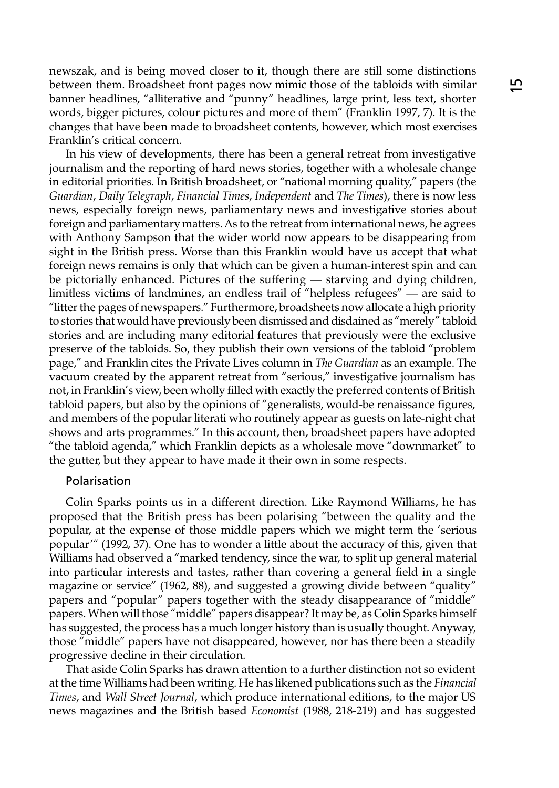newszak, and is being moved closer to it, though there are still some distinctions between them. Broadsheet front pages now mimic those of the tabloids with similar banner headlines, "alliterative and "punny" headlines, large print, less text, shorter words, bigger pictures, colour pictures and more of them" (Franklin 1997, 7). It is the changes that have been made to broadsheet contents, however, which most exercises Franklin's critical concern.

In his view of developments, there has been a general retreat from investigative journalism and the reporting of hard news stories, together with a wholesale change in editorial priorities. In British broadsheet, or "national morning quality," papers (the Guardian, Daily Telegraph, Financial Times, Independent and The Times), there is now less news, especially foreign news, parliamentary news and investigative stories about foreign and parliamentary matters. As to the retreat from international news, he agrees with Anthony Sampson that the wider world now appears to be disappearing from sight in the British press. Worse than this Franklin would have us accept that what foreign news remains is only that which can be given a human-interest spin and can be pictorially enhanced. Pictures of the suffering — starving and dying children, limitless victims of landmines, an endless trail of "helpless refugees" — are said to "litter the pages of newspapers." Furthermore, broadsheets now allocate a high priority to stories that would have previously been dismissed and disdained as "merely" tabloid stories and are including many editorial features that previously were the exclusive preserve of the tabloids. So, they publish their own versions of the tabloid "problem" page," and Franklin cites the Private Lives column in The Guardian as an example. The vacuum created by the apparent retreat from "serious," investigative journalism has not, in Franklin's view, been wholly filled with exactly the preferred contents of British tabloid papers, but also by the opinions of "generalists, would-be renaissance figures, and members of the popular literati who routinely appear as guests on late-night chat shows and arts programmes." In this account, then, broadsheet papers have adopted "the tabloid agenda," which Franklin depicts as a wholesale move "downmarket" to the gutter, but they appear to have made it their own in some respects.

#### Polarisation

Colin Sparks points us in a different direction. Like Raymond Williams, he has proposed that the British press has been polarising "between the quality and the popular, at the expense of those middle papers which we might term the 'serious popular (1992, 37). One has to wonder a little about the accuracy of this, given that Williams had observed a "marked tendency, since the war, to split up general material into particular interests and tastes, rather than covering a general field in a single magazine or service" (1962, 88), and suggested a growing divide between "quality" papers and "popular" papers together with the steady disappearance of "middle" papers. When will those "middle" papers disappear? It may be, as Colin Sparks himself has suggested, the process has a much longer history than is usually thought. Anyway, those "middle" papers have not disappeared, however, nor has there been a steadily progressive decline in their circulation.

That aside Colin Sparks has drawn attention to a further distinction not so evident at the time Williams had been writing. He has likened publications such as the Financial Times, and Wall Street Journal, which produce international editions, to the major US news magazines and the British based Economist (1988, 218-219) and has suggested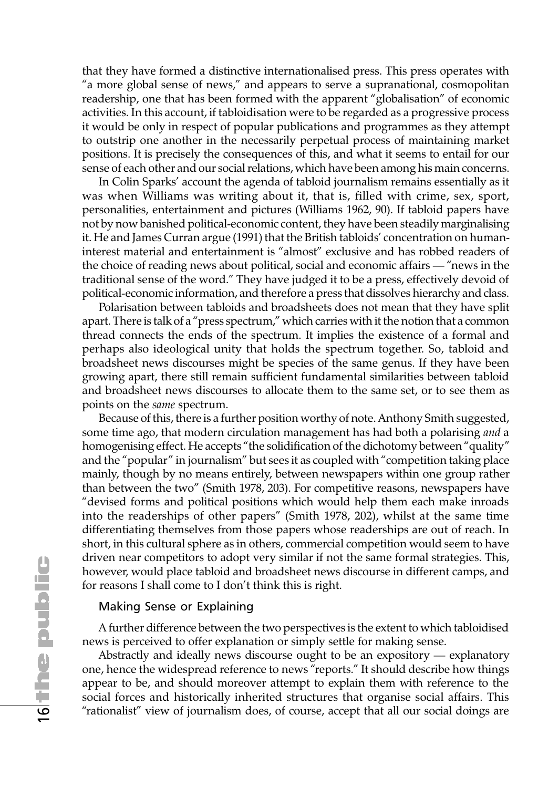that they have formed a distinctive internationalised press. This press operates with "a more global sense of news," and appears to serve a supranational, cosmopolitan readership, one that has been formed with the apparent "globalisation" of economic activities. In this account, if tabloidisation were to be regarded as a progressive process it would be only in respect of popular publications and programmes as they attempt to outstrip one another in the necessarily perpetual process of maintaining market positions. It is precisely the consequences of this, and what it seems to entail for our sense of each other and our social relations, which have been among his main concerns.

In Colin Sparks' account the agenda of tabloid journalism remains essentially as it was when Williams was writing about it, that is, filled with crime, sex, sport, personalities, entertainment and pictures (Williams 1962, 90). If tabloid papers have not by now banished political-economic content, they have been steadily marginalising it. He and James Curran argue (1991) that the British tabloids' concentration on humaninterest material and entertainment is "almost" exclusive and has robbed readers of the choice of reading news about political, social and economic affairs — "news in the traditional sense of the word." They have judged it to be a press, effectively devoid of political-economic information, and therefore a press that dissolves hierarchy and class.

Polarisation between tabloids and broadsheets does not mean that they have split apart. There is talk of a "press spectrum," which carries with it the notion that a common thread connects the ends of the spectrum. It implies the existence of a formal and perhaps also ideological unity that holds the spectrum together. So, tabloid and broadsheet news discourses might be species of the same genus. If they have been growing apart, there still remain sufficient fundamental similarities between tabloid and broadsheet news discourses to allocate them to the same set, or to see them as points on the same spectrum.

Because of this, there is a further position worthy of note. Anthony Smith suggested, some time ago, that modern circulation management has had both a polarising *and* a homogenising effect. He accepts "the solidification of the dichotomy between "quality" and the "popular" in journalism" but sees it as coupled with "competition taking place mainly, though by no means entirely, between newspapers within one group rather than between the two" (Smith 1978, 203). For competitive reasons, newspapers have devised forms and political positions which would help them each make inroads into the readerships of other papers" (Smith 1978, 202), whilst at the same time differentiating themselves from those papers whose readerships are out of reach. In short, in this cultural sphere as in others, commercial competition would seem to have driven near competitors to adopt very similar if not the same formal strategies. This, however, would place tabloid and broadsheet news discourse in different camps, and for reasons I shall come to I don't think this is right.

#### Making Sense or Explaining

A further difference between the two perspectives is the extent to which tabloidised news is perceived to offer explanation or simply settle for making sense.

Abstractly and ideally news discourse ought to be an expository  $-$  explanatory one, hence the widespread reference to news reports. It should describe how things appear to be, and should moreover attempt to explain them with reference to the social forces and historically inherited structures that organise social affairs. This "rationalist" view of journalism does, of course, accept that all our social doings are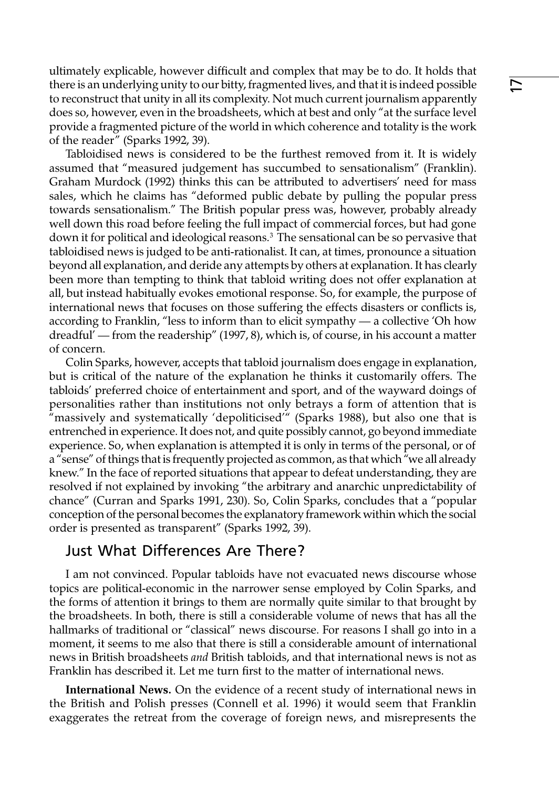ultimately explicable, however difficult and complex that may be to do. It holds that there is an underlying unity to our bitty, fragmented lives, and that it is indeed possible to reconstruct that unity in all its complexity. Not much current journalism apparently does so, however, even in the broadsheets, which at best and only "at the surface level

of the reader" (Sparks 1992, 39). Tabloidised news is considered to be the furthest removed from it. It is widely assumed that "measured judgement has succumbed to sensationalism" (Franklin). Graham Murdock (1992) thinks this can be attributed to advertisers' need for mass sales, which he claims has "deformed public debate by pulling the popular press towards sensationalism." The British popular press was, however, probably already well down this road before feeling the full impact of commercial forces, but had gone down it for political and ideological reasons.<sup>3</sup> The sensational can be so pervasive that tabloidised news is judged to be anti-rationalist. It can, at times, pronounce a situation beyond all explanation, and deride any attempts by others at explanation. It has clearly been more than tempting to think that tabloid writing does not offer explanation at all, but instead habitually evokes emotional response. So, for example, the purpose of international news that focuses on those suffering the effects disasters or conflicts is, according to Franklin, "less to inform than to elicit sympathy  $-$  a collective 'Oh how dreadful'  $-$  from the readership" (1997, 8), which is, of course, in his account a matter of concern.

provide a fragmented picture of the world in which coherence and totality is the work

Colin Sparks, however, accepts that tabloid journalism does engage in explanation, but is critical of the nature of the explanation he thinks it customarily offers. The tabloids' preferred choice of entertainment and sport, and of the wayward doings of personalities rather than institutions not only betrays a form of attention that is  $\mu$ <sup>a</sup> massively and systematically 'depoliticised'<sup>"</sup> (Sparks 1988), but also one that is entrenched in experience. It does not, and quite possibly cannot, go beyond immediate experience. So, when explanation is attempted it is only in terms of the personal, or of a "sense" of things that is frequently projected as common, as that which "we all already knew." In the face of reported situations that appear to defeat understanding, they are resolved if not explained by invoking "the arbitrary and anarchic unpredictability of chance" (Curran and Sparks 1991, 230). So, Colin Sparks, concludes that a "popular conception of the personal becomes the explanatory framework within which the social order is presented as transparent" (Sparks 1992, 39).

### Just What Differences Are There?

I am not convinced. Popular tabloids have not evacuated news discourse whose topics are political-economic in the narrower sense employed by Colin Sparks, and the forms of attention it brings to them are normally quite similar to that brought by the broadsheets. In both, there is still a considerable volume of news that has all the hallmarks of traditional or "classical" news discourse. For reasons I shall go into in a moment, it seems to me also that there is still a considerable amount of international news in British broadsheets and British tabloids, and that international news is not as Franklin has described it. Let me turn first to the matter of international news.

International News. On the evidence of a recent study of international news in the British and Polish presses (Connell et al. 1996) it would seem that Franklin exaggerates the retreat from the coverage of foreign news, and misrepresents the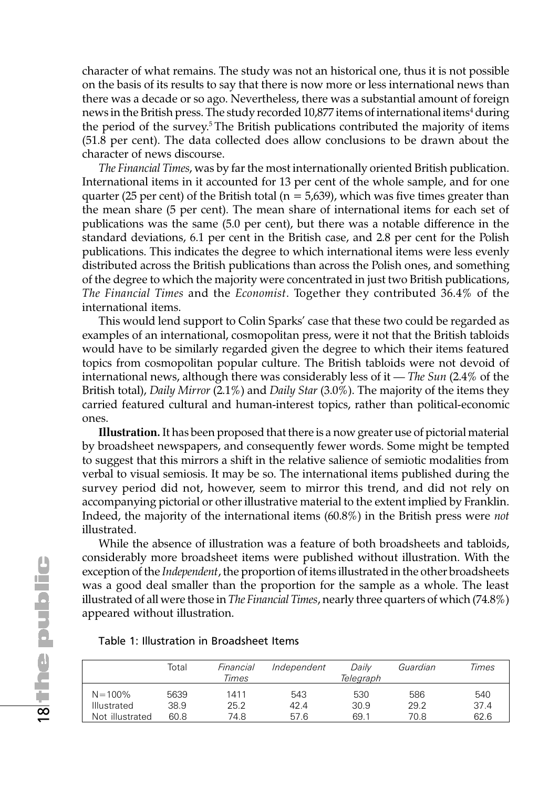character of what remains. The study was not an historical one, thus it is not possible on the basis of its results to say that there is now more or less international news than there was a decade or so ago. Nevertheless, there was a substantial amount of foreign news in the British press. The study recorded 10,877 items of international items<sup>4</sup> during the period of the survey.5 The British publications contributed the majority of items (51.8 per cent). The data collected does allow conclusions to be drawn about the character of news discourse.

The Financial Times, was by far the most internationally oriented British publication. International items in it accounted for 13 per cent of the whole sample, and for one quarter (25 per cent) of the British total ( $n = 5,639$ ), which was five times greater than the mean share (5 per cent). The mean share of international items for each set of publications was the same (5.0 per cent), but there was a notable difference in the standard deviations, 6.1 per cent in the British case, and 2.8 per cent for the Polish publications. This indicates the degree to which international items were less evenly distributed across the British publications than across the Polish ones, and something of the degree to which the majority were concentrated in just two British publications, The Financial Times and the Economist. Together they contributed 36.4% of the international items.

This would lend support to Colin Sparks' case that these two could be regarded as examples of an international, cosmopolitan press, were it not that the British tabloids would have to be similarly regarded given the degree to which their items featured topics from cosmopolitan popular culture. The British tabloids were not devoid of international news, although there was considerably less of it  $\overline{\phantom{a}}$  The Sun (2.4% of the British total), Daily Mirror (2.1%) and Daily Star (3.0%). The majority of the items they carried featured cultural and human-interest topics, rather than political-economic ones.

Illustration. It has been proposed that there is a now greater use of pictorial material by broadsheet newspapers, and consequently fewer words. Some might be tempted to suggest that this mirrors a shift in the relative salience of semiotic modalities from verbal to visual semiosis. It may be so. The international items published during the survey period did not, however, seem to mirror this trend, and did not rely on accompanying pictorial or other illustrative material to the extent implied by Franklin. Indeed, the majority of the international items (60.8%) in the British press were not illustrated.

While the absence of illustration was a feature of both broadsheets and tabloids, considerably more broadsheet items were published without illustration. With the exception of the *Independent*, the proportion of items illustrated in the other broadsheets was a good deal smaller than the proportion for the sample as a whole. The least illustrated of all were those in The Financial Times, nearly three quarters of which (74.8%) appeared without illustration.

|                            | Total        | Financial<br>Times | Independent | Dailv<br>Telegraph | Guardian    | Times       |
|----------------------------|--------------|--------------------|-------------|--------------------|-------------|-------------|
| $N = 100\%$<br>Illustrated | 5639<br>38.9 | 1411<br>25.2       | 543<br>42.4 | 530<br>30.9        | 586<br>29.2 | 540<br>37.4 |
| Not illustrated            | 60.8         | 74.8               | 57.6        | 69.1               | 70.8        | 62.6        |

#### Table 1: Illustration in Broadsheet Items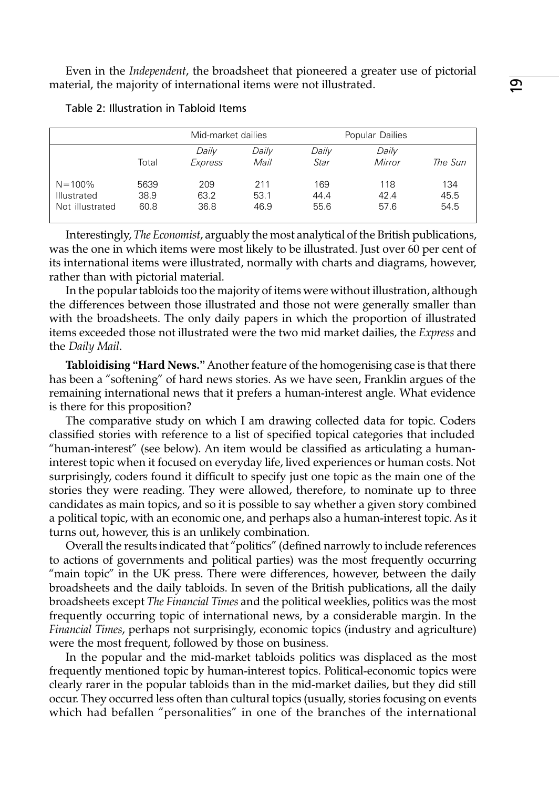Even in the Independent, the broadsheet that pioneered a greater use of pictorial material, the majority of international items were not illustrated.

|                                                      |                      | Mid-market dailies  |                     |                     | Popular Dailies     |                     |  |
|------------------------------------------------------|----------------------|---------------------|---------------------|---------------------|---------------------|---------------------|--|
|                                                      | Total                | Daily<br>Express    | Daily<br>Mail       | Daily<br>Star       | Daily<br>Mirror     | The Sun             |  |
| $N = 100\%$<br><b>Illustrated</b><br>Not illustrated | 5639<br>38.9<br>60.8 | 209<br>63.2<br>36.8 | 211<br>53.1<br>46.9 | 169<br>44.4<br>55.6 | 118<br>42.4<br>57.6 | 134<br>45.5<br>54.5 |  |

#### Table 2: Illustration in Tabloid Items

Interestingly, The Economist, arguably the most analytical of the British publications, was the one in which items were most likely to be illustrated. Just over 60 per cent of its international items were illustrated, normally with charts and diagrams, however, rather than with pictorial material.

In the popular tabloids too the majority of items were without illustration, although the differences between those illustrated and those not were generally smaller than with the broadsheets. The only daily papers in which the proportion of illustrated items exceeded those not illustrated were the two mid market dailies, the Express and the Daily Mail.

Tabloidising "Hard News." Another feature of the homogenising case is that there has been a "softening" of hard news stories. As we have seen, Franklin argues of the remaining international news that it prefers a human-interest angle. What evidence is there for this proposition?

The comparative study on which I am drawing collected data for topic. Coders classified stories with reference to a list of specified topical categories that included "human-interest" (see below). An item would be classified as articulating a humaninterest topic when it focused on everyday life, lived experiences or human costs. Not surprisingly, coders found it difficult to specify just one topic as the main one of the stories they were reading. They were allowed, therefore, to nominate up to three candidates as main topics, and so it is possible to say whether a given story combined a political topic, with an economic one, and perhaps also a human-interest topic. As it turns out, however, this is an unlikely combination.

Overall the results indicated that "politics" (defined narrowly to include references to actions of governments and political parties) was the most frequently occurring "main topic" in the UK press. There were differences, however, between the daily broadsheets and the daily tabloids. In seven of the British publications, all the daily broadsheets except The Financial Times and the political weeklies, politics was the most frequently occurring topic of international news, by a considerable margin. In the Financial Times, perhaps not surprisingly, economic topics (industry and agriculture) were the most frequent, followed by those on business.

In the popular and the mid-market tabloids politics was displaced as the most frequently mentioned topic by human-interest topics. Political-economic topics were clearly rarer in the popular tabloids than in the mid-market dailies, but they did still occur. They occurred less often than cultural topics (usually, stories focusing on events which had befallen "personalities" in one of the branches of the international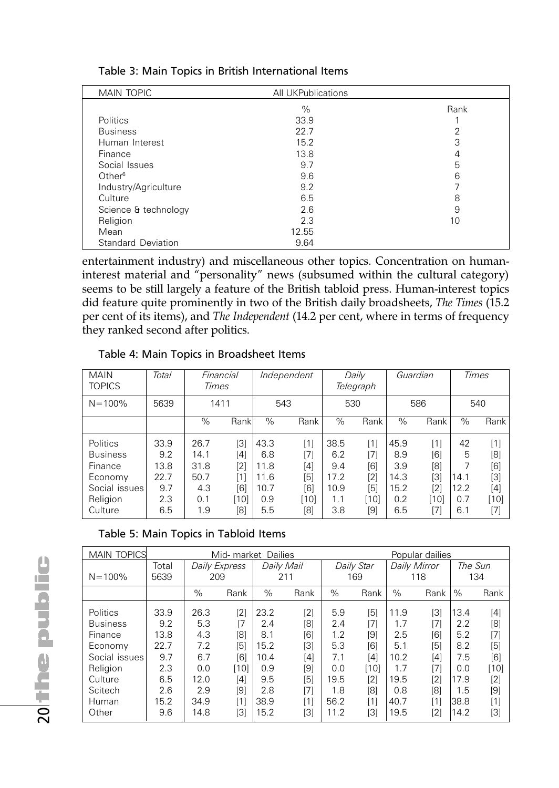| <b>MAIN TOPIC</b>         | All UKPublications |      |
|---------------------------|--------------------|------|
|                           | $\frac{0}{0}$      | Rank |
| Politics                  | 33.9               |      |
| <b>Business</b>           | 22.7               | 2    |
| Human Interest            | 15.2               | 3    |
| Finance                   | 13.8               | 4    |
| Social Issues             | 9.7                | 5    |
| Other <sup>6</sup>        | 9.6                | 6    |
| Industry/Agriculture      | 9.2                |      |
| Culture                   | 6.5                | 8    |
| Science & technology      | 2.6                | 9    |
| Religion                  | 2.3                | 10   |
| Mean                      | 12.55              |      |
| <b>Standard Deviation</b> | 9.64               |      |

|  |  |  |  |  |  | Table 3: Main Topics in British International Items |  |
|--|--|--|--|--|--|-----------------------------------------------------|--|
|--|--|--|--|--|--|-----------------------------------------------------|--|

entertainment industry) and miscellaneous other topics. Concentration on humaninterest material and "personality" news (subsumed within the cultural category) seems to be still largely a feature of the British tabloid press. Human-interest topics did feature quite prominently in two of the British daily broadsheets, The Times (15.2 per cent of its items), and The Independent (14.2 per cent, where in terms of frequency they ranked second after politics.

| <b>MAIN</b><br><b>TOPICS</b> | <b>Total</b> | Financial<br>Times |             | Independent |                   | Daily<br>Telegraph |      | Guardian |      | <b>Times</b> |      |
|------------------------------|--------------|--------------------|-------------|-------------|-------------------|--------------------|------|----------|------|--------------|------|
| $N = 100%$                   | 5639         |                    | 1411<br>543 |             | 530               |                    | 586  |          | 540  |              |      |
|                              |              | $\%$               | Rankl       | $\%$        | Rank <sup>1</sup> | $\%$               | Rank | $\%$     | Rank | $\%$         | Rank |
| Politics                     | 33.9         | 26.7               | [3]         | 43.3        | [1]               | 38.5               | [1]  | 45.9     | [1]  | 42           | [1]  |
| <b>Business</b>              | 9.2          | 14.1               | [4]         | 6.8         | [7]               | 6.2                | [7]  | 8.9      | [6]  | 5            | [8]  |
| Finance                      | 13.8         | 31.8               | [2]         | 11.8        | [4]               | 9.4                | [6]  | 3.9      | [8]  | 7            | [6]  |
| Economy                      | 22.7         | 50.7               | [1]         | 11.6        | [5]               | 17.2               | [2]  | 14.3     | [3]  | 14.1         | [3]  |
| Social issues                | 9.7          | 4.3                | [6]         | 10.7        | [6]               | 10.9               | [5]  | 15.2     | [2]  | 12.2         | [4]  |
| Religion                     | 2.3          | 0.1                | [10]        | 0.9         | [10]              | 1.1                | [10] | 0.2      | [10] | 0.7          | [10] |
| Culture                      | 6.5          | 1.9                | [8]         | 5.5         | [8]               | 3.8                | [9]  | 6.5      | [7]  | 6.1          | [7]  |

#### Table 4: Main Topics in Broadsheet Items

#### Table 5: Main Topics in Tabloid Items

| <b>MAIN TOPICS</b> | Mid- market Dailies<br>Popular dailies |      |                   |      |                   |      |                   |              |       |         |      |
|--------------------|----------------------------------------|------|-------------------|------|-------------------|------|-------------------|--------------|-------|---------|------|
| $N = 100\%$        | Total<br>5639                          | 209  | Daily Express     |      | Daily Mail<br>211 |      | Daily Star<br>169 | Daily Mirror | 118   | The Sun | 134  |
|                    |                                        | $\%$ | Rank              | $\%$ | Rank              | $\%$ | Rank              | $\%$         | Rank  | $\%$    | Rank |
| Politics           | 33.9                                   | 26.3 | [2]               | 23.2 | [2]               | 5.9  | [5]               | 11.9         | [3]   | 13.4    | [4]  |
| <b>Business</b>    | 9.2                                    | 5.3  | 7                 | 2.4  | [8]               | 2.4  | [7]               | 1.7          | [7]   | 2.2     | [8]  |
| Finance            | 13.8                                   | 4.3  | [8]               | 8.1  | [6]               | 1.2  | [9]               | 2.5          | [6]   | 5.2     | [7]  |
| Economy            | 22.7                                   | 7.2  | [5]               | 15.2 | $\lceil 3 \rceil$ | 5.3  | [6]               | 5.1          | [5]   | 8.2     | [5]  |
| Social issues      | 9.7                                    | 6.7  | [6]               | 10.4 | [4]               | 7.1  | [4]               | 10.2         | [4]   | 7.5     | [6]  |
| Religion           | 2.3                                    | 0.0  | [10]              | 0.9  | [9]               | 0.0  | $[10]$            | 1.7          | [7]   | 0.0     | [10] |
| Culture            | 6.5                                    | 12.0 | [4]               | 9.5  | [5]               | 19.5 | [2]               | 19.5         | [2]   | 17.9    | [2]  |
| Scitech            | 2.6                                    | 2.9  | $[9]$             | 2.8  | [7]               | 1.8  | [8]               | 0.8          | [8]   | 1.5     | [9]  |
| Human              | 15.2                                   | 34.9 | $\lceil 1 \rceil$ | 38.9 | [1]               | 56.2 | [1]               | 40.7         | [1]   | 38.8    | [1]  |
| Other              | 9.6                                    | 14.8 | [3]               | 15.2 | [3]               | 11.2 | [3]               | 19.5         | $[2]$ | 14.2    | [3]  |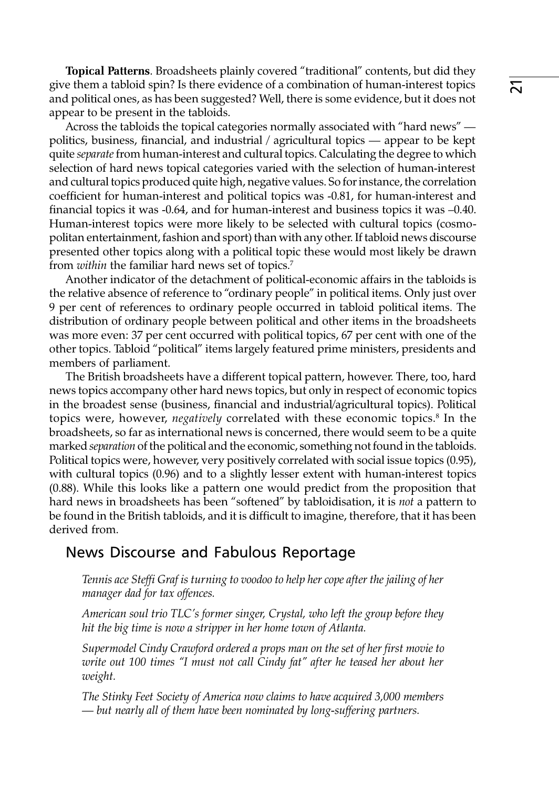Topical Patterns. Broadsheets plainly covered "traditional" contents, but did they give them a tabloid spin? Is there evidence of a combination of human-interest topics and political ones, as has been suggested? Well, there is some evidence, but it does not appear to be present in the tabloids.

Across the tabloids the topical categories normally associated with "hard news" politics, business, financial, and industrial  $/$  agricultural topics  $-$  appear to be kept quite *separate* from human-interest and cultural topics. Calculating the degree to which selection of hard news topical categories varied with the selection of human-interest and cultural topics produced quite high, negative values. So for instance, the correlation coefficient for human-interest and political topics was -0.81, for human-interest and financial topics it was -0.64, and for human-interest and business topics it was -0.40. Human-interest topics were more likely to be selected with cultural topics (cosmopolitan entertainment, fashion and sport) than with any other. If tabloid news discourse presented other topics along with a political topic these would most likely be drawn from within the familiar hard news set of topics.<sup>7</sup>

Another indicator of the detachment of political-economic affairs in the tabloids is the relative absence of reference to "ordinary people" in political items. Only just over 9 per cent of references to ordinary people occurred in tabloid political items. The distribution of ordinary people between political and other items in the broadsheets was more even: 37 per cent occurred with political topics, 67 per cent with one of the other topics. Tabloid "political" items largely featured prime ministers, presidents and members of parliament.

The British broadsheets have a different topical pattern, however. There, too, hard news topics accompany other hard news topics, but only in respect of economic topics in the broadest sense (business, financial and industrial/agricultural topics). Political topics were, however, *negatively* correlated with these economic topics.<sup>8</sup> In the broadsheets, so far as international news is concerned, there would seem to be a quite marked separation of the political and the economic, something not found in the tabloids. Political topics were, however, very positively correlated with social issue topics (0.95), with cultural topics (0.96) and to a slightly lesser extent with human-interest topics (0.88). While this looks like a pattern one would predict from the proposition that hard news in broadsheets has been "softened" by tabloidisation, it is not a pattern to be found in the British tabloids, and it is difficult to imagine, therefore, that it has been derived from.

### News Discourse and Fabulous Reportage

Tennis ace Steffi Graf is turning to voodoo to help her cope after the jailing of her manager dad for tax offences.

American soul trio TLC's former singer, Crystal, who left the group before they hit the big time is now a stripper in her home town of Atlanta.

Supermodel Cindy Crawford ordered a props man on the set of her first movie to write out 100 times "I must not call Cindy fat" after he teased her about her weight.

The Stinky Feet Society of America now claims to have acquired 3,000 members — but nearly all of them have been nominated by long-suffering partners.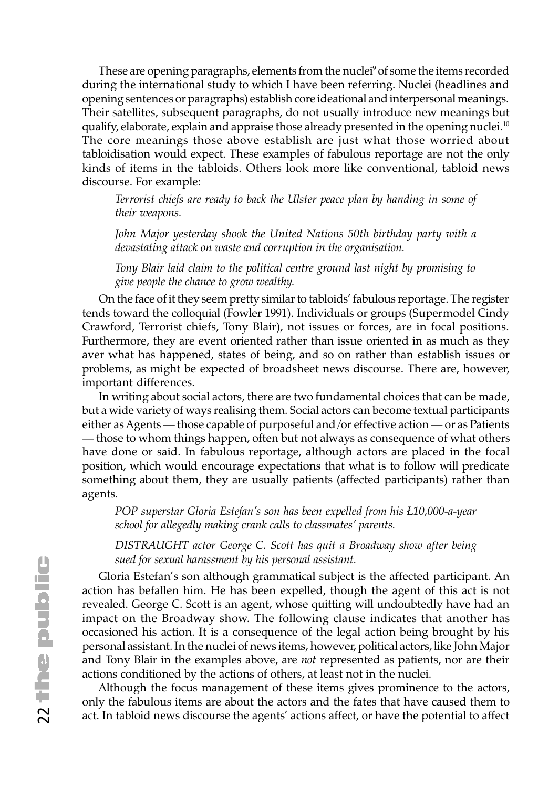These are opening paragraphs, elements from the nuclei<sup>9</sup> of some the items recorded during the international study to which I have been referring. Nuclei (headlines and opening sentences or paragraphs) establish core ideational and interpersonal meanings. Their satellites, subsequent paragraphs, do not usually introduce new meanings but qualify, elaborate, explain and appraise those already presented in the opening nuclei.<sup>10</sup> The core meanings those above establish are just what those worried about tabloidisation would expect. These examples of fabulous reportage are not the only kinds of items in the tabloids. Others look more like conventional, tabloid news discourse. For example:

Terrorist chiefs are ready to back the Ulster peace plan by handing in some of their weapons.

John Major yesterday shook the United Nations 50th birthday party with a devastating attack on waste and corruption in the organisation.

Tony Blair laid claim to the political centre ground last night by promising to give people the chance to grow wealthy.

On the face of it they seem pretty similar to tabloids' fabulous reportage. The register tends toward the colloquial (Fowler 1991). Individuals or groups (Supermodel Cindy Crawford, Terrorist chiefs, Tony Blair), not issues or forces, are in focal positions. Furthermore, they are event oriented rather than issue oriented in as much as they aver what has happened, states of being, and so on rather than establish issues or problems, as might be expected of broadsheet news discourse. There are, however, important differences.

In writing about social actors, there are two fundamental choices that can be made, but a wide variety of ways realising them. Social actors can become textual participants either as Agents — those capable of purposeful and /or effective action — or as Patients  $-$  those to whom things happen, often but not always as consequence of what others have done or said. In fabulous reportage, although actors are placed in the focal position, which would encourage expectations that what is to follow will predicate something about them, they are usually patients (affected participants) rather than agents.

POP superstar Gloria Estefan's son has been expelled from his Ł10,000-a-year school for allegedly making crank calls to classmates' parents.

DISTRAUGHT actor George C. Scott has quit a Broadway show after being sued for sexual harassment by his personal assistant.

Gloria Estefan's son although grammatical subject is the affected participant. An action has befallen him. He has been expelled, though the agent of this act is not revealed. George C. Scott is an agent, whose quitting will undoubtedly have had an impact on the Broadway show. The following clause indicates that another has occasioned his action. It is a consequence of the legal action being brought by his personal assistant. In the nuclei of news items, however, political actors, like John Major and Tony Blair in the examples above, are *not* represented as patients, nor are their actions conditioned by the actions of others, at least not in the nuclei.

Although the focus management of these items gives prominence to the actors, only the fabulous items are about the actors and the fates that have caused them to act. In tabloid news discourse the agents' actions affect, or have the potential to affect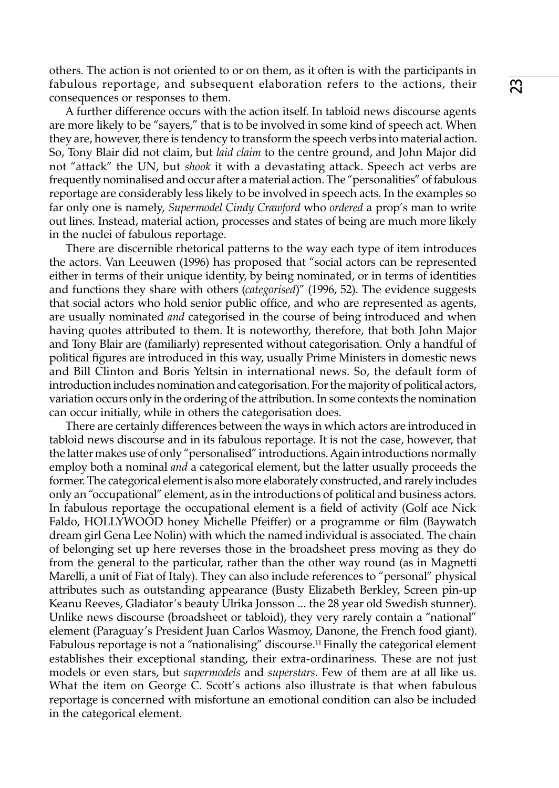others. The action is not oriented to or on them, as it often is with the participants in fabulous reportage, and subsequent elaboration refers to the actions, their consequences or responses to them.

A further difference occurs with the action itself. In tabloid news discourse agents are more likely to be "sayers," that is to be involved in some kind of speech act. When they are, however, there is tendency to transform the speech verbs into material action. So, Tony Blair did not claim, but laid claim to the centre ground, and John Major did not "attack" the UN, but shook it with a devastating attack. Speech act verbs are frequently nominalised and occur after a material action. The "personalities" of fabulous reportage are considerably less likely to be involved in speech acts. In the examples so far only one is namely, Supermodel Cindy Crawford who ordered a prop's man to write out lines. Instead, material action, processes and states of being are much more likely in the nuclei of fabulous reportage.

There are discernible rhetorical patterns to the way each type of item introduces the actors. Van Leeuwen (1996) has proposed that "social actors can be represented either in terms of their unique identity, by being nominated, or in terms of identities and functions they share with others (categorised)" (1996, 52). The evidence suggests that social actors who hold senior public office, and who are represented as agents, are usually nominated and categorised in the course of being introduced and when having quotes attributed to them. It is noteworthy, therefore, that both John Major and Tony Blair are (familiarly) represented without categorisation. Only a handful of political figures are introduced in this way, usually Prime Ministers in domestic news and Bill Clinton and Boris Yeltsin in international news. So, the default form of introduction includes nomination and categorisation. For the majority of political actors, variation occurs only in the ordering of the attribution. In some contexts the nomination can occur initially, while in others the categorisation does.

There are certainly differences between the ways in which actors are introduced in tabloid news discourse and in its fabulous reportage. It is not the case, however, that the latter makes use of only "personalised" introductions. Again introductions normally employ both a nominal and a categorical element, but the latter usually proceeds the former. The categorical element is also more elaborately constructed, and rarely includes only an "occupational" element, as in the introductions of political and business actors. In fabulous reportage the occupational element is a field of activity (Golf ace Nick Faldo, HOLLYWOOD honey Michelle Pfeiffer) or a programme or film (Baywatch dream girl Gena Lee Nolin) with which the named individual is associated. The chain of belonging set up here reverses those in the broadsheet press moving as they do from the general to the particular, rather than the other way round (as in Magnetti Marelli, a unit of Fiat of Italy). They can also include references to "personal" physical attributes such as outstanding appearance (Busty Elizabeth Berkley, Screen pin-up Keanu Reeves, Gladiator's beauty Ulrika Jonsson ... the 28 year old Swedish stunner). Unlike news discourse (broadsheet or tabloid), they very rarely contain a "national" element (Paraguay's President Juan Carlos Wasmoy, Danone, the French food giant). Fabulous reportage is not a "nationalising" discourse.<sup>11</sup> Finally the categorical element establishes their exceptional standing, their extra-ordinariness. These are not just models or even stars, but supermodels and superstars. Few of them are at all like us. What the item on George C. Scott's actions also illustrate is that when fabulous reportage is concerned with misfortune an emotional condition can also be included in the categorical element.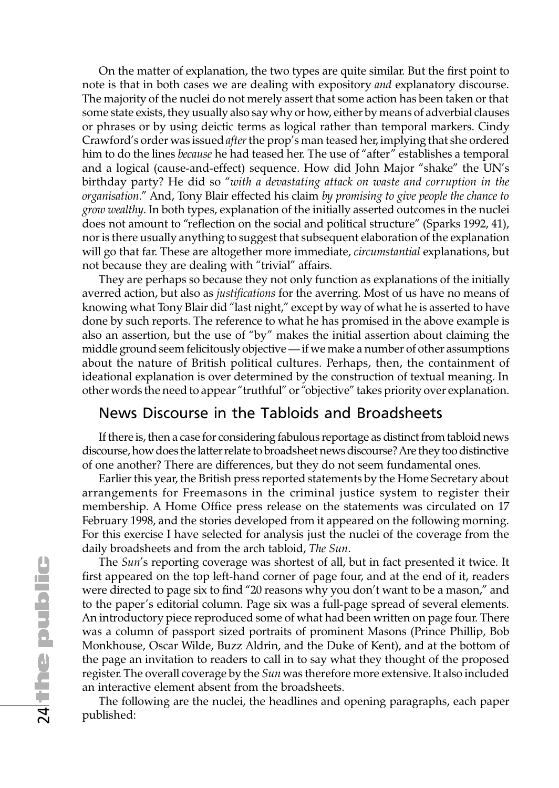On the matter of explanation, the two types are quite similar. But the first point to note is that in both cases we are dealing with expository and explanatory discourse. The majority of the nuclei do not merely assert that some action has been taken or that some state exists, they usually also say why or how, either by means of adverbial clauses or phrases or by using deictic terms as logical rather than temporal markers. Cindy Crawford's order was issued *after* the prop's man teased her, implying that she ordered him to do the lines because he had teased her. The use of "after" establishes a temporal and a logical (cause-and-effect) sequence. How did John Major "shake" the UN's birthday party? He did so "with a devastating attack on waste and corruption in the organisation." And, Tony Blair effected his claim by promising to give people the chance to grow wealthy. In both types, explanation of the initially asserted outcomes in the nuclei does not amount to "reflection on the social and political structure" (Sparks 1992, 41), nor is there usually anything to suggest that subsequent elaboration of the explanation will go that far. These are altogether more immediate, circumstantial explanations, but not because they are dealing with "trivial" affairs.

They are perhaps so because they not only function as explanations of the initially averred action, but also as justifications for the averring. Most of us have no means of knowing what Tony Blair did "last night," except by way of what he is asserted to have done by such reports. The reference to what he has promised in the above example is also an assertion, but the use of "by" makes the initial assertion about claiming the middle ground seem felicitously objective — if we make a number of other assumptions about the nature of British political cultures. Perhaps, then, the containment of ideational explanation is over determined by the construction of textual meaning. In other words the need to appear "truthful" or "objective" takes priority over explanation.

## News Discourse in the Tabloids and Broadsheets

If there is, then a case for considering fabulous reportage as distinct from tabloid news discourse, how does the latter relate to broadsheet news discourse? Are they too distinctive of one another? There are differences, but they do not seem fundamental ones.

Earlier this year, the British press reported statements by the Home Secretary about arrangements for Freemasons in the criminal justice system to register their membership. A Home Office press release on the statements was circulated on 17 February 1998, and the stories developed from it appeared on the following morning. For this exercise I have selected for analysis just the nuclei of the coverage from the daily broadsheets and from the arch tabloid, The Sun.

The Sun's reporting coverage was shortest of all, but in fact presented it twice. It first appeared on the top left-hand corner of page four, and at the end of it, readers were directed to page six to find "20 reasons why you don't want to be a mason," and to the paper's editorial column. Page six was a full-page spread of several elements. An introductory piece reproduced some of what had been written on page four. There was a column of passport sized portraits of prominent Masons (Prince Phillip, Bob Monkhouse, Oscar Wilde, Buzz Aldrin, and the Duke of Kent), and at the bottom of the page an invitation to readers to call in to say what they thought of the proposed register. The overall coverage by the Sun was therefore more extensive. It also included an interactive element absent from the broadsheets.

The following are the nuclei, the headlines and opening paragraphs, each paper published: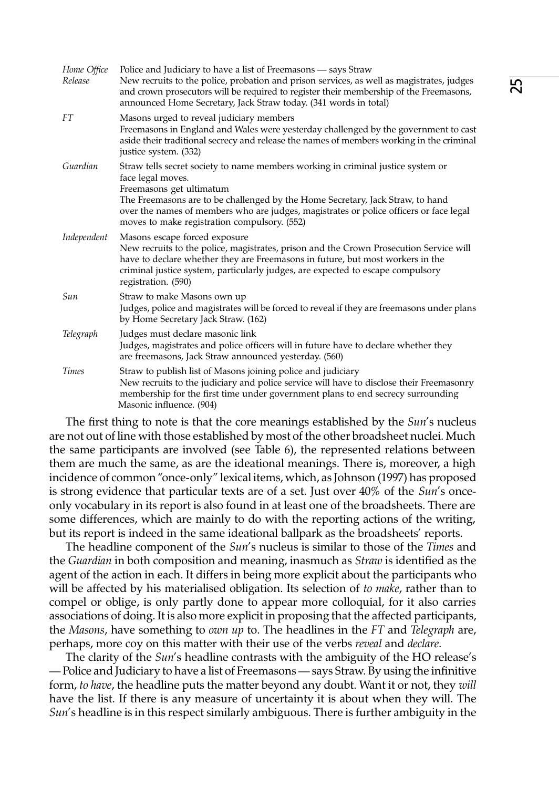| Release     | New recruits to the police, probation and prison services, as well as magistrates, judges<br>and crown prosecutors will be required to register their membership of the Freemasons,<br>announced Home Secretary, Jack Straw today. (341 words in total)                                                                                                       |
|-------------|---------------------------------------------------------------------------------------------------------------------------------------------------------------------------------------------------------------------------------------------------------------------------------------------------------------------------------------------------------------|
| FT          | Masons urged to reveal judiciary members<br>Freemasons in England and Wales were yesterday challenged by the government to cast<br>aside their traditional secrecy and release the names of members working in the criminal<br>justice system. (332)                                                                                                          |
| Guardian    | Straw tells secret society to name members working in criminal justice system or<br>face legal moves.<br>Freemasons get ultimatum<br>The Freemasons are to be challenged by the Home Secretary, Jack Straw, to hand<br>over the names of members who are judges, magistrates or police officers or face legal<br>moves to make registration compulsory. (552) |
| Independent | Masons escape forced exposure<br>New recruits to the police, magistrates, prison and the Crown Prosecution Service will<br>have to declare whether they are Freemasons in future, but most workers in the<br>criminal justice system, particularly judges, are expected to escape compulsory<br>rogistration (500)                                            |

|              | registration. (590)                                                                                                                                                                                                                                                     |
|--------------|-------------------------------------------------------------------------------------------------------------------------------------------------------------------------------------------------------------------------------------------------------------------------|
| Sun          | Straw to make Masons own up<br>Judges, police and magistrates will be forced to reveal if they are freemasons under plans<br>by Home Secretary Jack Straw. (162)                                                                                                        |
| Telegraph    | Judges must declare masonic link<br>Judges, magistrates and police officers will in future have to declare whether they<br>are freemasons, Jack Straw announced yesterday. (560)                                                                                        |
| <b>Times</b> | Straw to publish list of Masons joining police and judiciary<br>New recruits to the judiciary and police service will have to disclose their Freemasonry<br>membership for the first time under government plans to end secrecy surrounding<br>Masonic influence. (904) |

Home Office Police and Judiciary to have a list of Freemasons — says Straw

The first thing to note is that the core meanings established by the Sun's nucleus are not out of line with those established by most of the other broadsheet nuclei. Much the same participants are involved (see Table 6), the represented relations between them are much the same, as are the ideational meanings. There is, moreover, a high incidence of common "once-only" lexical items, which, as Johnson (1997) has proposed is strong evidence that particular texts are of a set. Just over  $40\%$  of the *Sun's* onceonly vocabulary in its report is also found in at least one of the broadsheets. There are some differences, which are mainly to do with the reporting actions of the writing, but its report is indeed in the same ideational ballpark as the broadsheets' reports.

The headline component of the *Sun's* nucleus is similar to those of the *Times* and the *Guardian* in both composition and meaning, inasmuch as *Straw* is identified as the agent of the action in each. It differs in being more explicit about the participants who will be affected by his materialised obligation. Its selection of to make, rather than to compel or oblige, is only partly done to appear more colloquial, for it also carries associations of doing. It is also more explicit in proposing that the affected participants, the Masons, have something to own up to. The headlines in the FT and Telegraph are, perhaps, more coy on this matter with their use of the verbs reveal and declare.

The clarity of the Sun's headline contrasts with the ambiguity of the HO release's - Police and Judiciary to have a list of Freemasons - says Straw. By using the infinitive form, to have, the headline puts the matter beyond any doubt. Want it or not, they will have the list. If there is any measure of uncertainty it is about when they will. The  $Sun's$  headline is in this respect similarly ambiguous. There is further ambiguity in the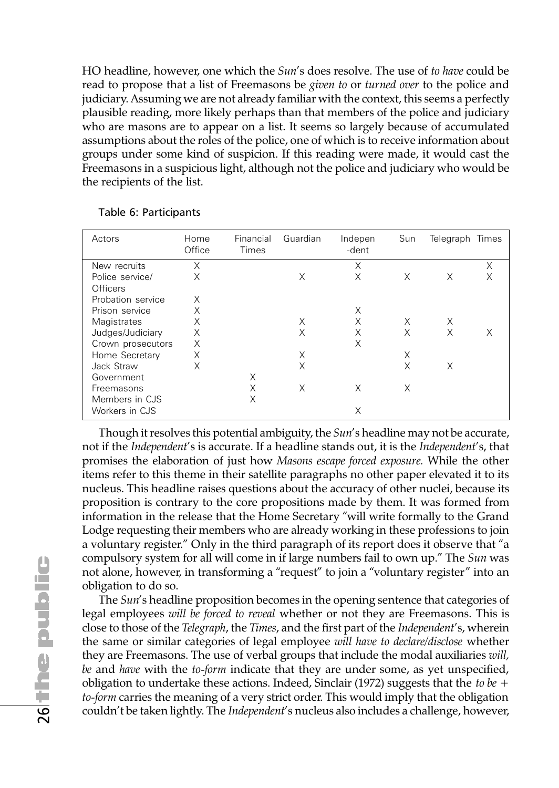HO headline, however, one which the Sun's does resolve. The use of to have could be read to propose that a list of Freemasons be *given to* or *turned over* to the police and judiciary. Assuming we are not already familiar with the context, this seems a perfectly plausible reading, more likely perhaps than that members of the police and judiciary who are masons are to appear on a list. It seems so largely because of accumulated assumptions about the roles of the police, one of which is to receive information about groups under some kind of suspicion. If this reading were made, it would cast the Freemasons in a suspicious light, although not the police and judiciary who would be the recipients of the list.

| Actors            | Home<br>Office | Financial<br>Times | Guardian | Indepen<br>-dent | Sun | Telegraph Times |   |
|-------------------|----------------|--------------------|----------|------------------|-----|-----------------|---|
| New recruits      | X              |                    |          | X                |     |                 | X |
| Police service/   | X              |                    | X        | X                | X   | X               | X |
| Officers          |                |                    |          |                  |     |                 |   |
| Probation service | X              |                    |          |                  |     |                 |   |
| Prison service    | X              |                    |          | X                |     |                 |   |
| Magistrates       | Χ              |                    | X        | X                | X   | X               |   |
| Judges/Judiciary  | X              |                    | X        | X                | X   | X               | X |
| Crown prosecutors | X              |                    |          | X                |     |                 |   |
| Home Secretary    | X              |                    | X        |                  | X   |                 |   |
| Jack Straw        | X              |                    | X        |                  | X   | X               |   |
| Government        |                | X                  |          |                  |     |                 |   |
| Freemasons        |                | X                  | X        | X                | X   |                 |   |
| Members in CJS    |                | Χ                  |          |                  |     |                 |   |
| Workers in CJS    |                |                    |          | X                |     |                 |   |

#### Table 6: Participants

Though it resolves this potential ambiguity, the Sun's headline may not be accurate, not if the Independent's is accurate. If a headline stands out, it is the Independent's, that promises the elaboration of just how Masons escape forced exposure. While the other items refer to this theme in their satellite paragraphs no other paper elevated it to its nucleus. This headline raises questions about the accuracy of other nuclei, because its proposition is contrary to the core propositions made by them. It was formed from information in the release that the Home Secretary "will write formally to the Grand Lodge requesting their members who are already working in these professions to join a voluntary register." Only in the third paragraph of its report does it observe that "a compulsory system for all will come in if large numbers fail to own up." The Sun was not alone, however, in transforming a "request" to join a "voluntary register" into an obligation to do so.

The *Sun's* headline proposition becomes in the opening sentence that categories of legal employees will be forced to reveal whether or not they are Freemasons. This is close to those of the Telegraph, the Times, and the first part of the Independent's, wherein the same or similar categories of legal employee will have to declare/disclose whether they are Freemasons. The use of verbal groups that include the modal auxiliaries will, be and have with the to-form indicate that they are under some, as yet unspecified, obligation to undertake these actions. Indeed, Sinclair (1972) suggests that the to be + to-form carries the meaning of a very strict order. This would imply that the obligation couldn't be taken lightly. The *Independent's* nucleus also includes a challenge, however,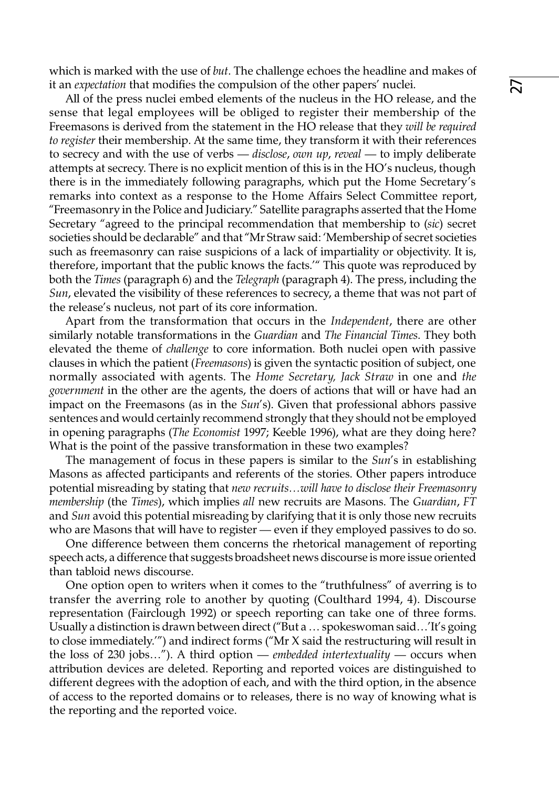which is marked with the use of *but*. The challenge echoes the headline and makes of it an expectation that modifies the compulsion of the other papers' nuclei.

All of the press nuclei embed elements of the nucleus in the HO release, and the sense that legal employees will be obliged to register their membership of the Freemasons is derived from the statement in the HO release that they will be required to register their membership. At the same time, they transform it with their references to secrecy and with the use of verbs  $-$  disclose, own up, reveal  $-$  to imply deliberate attempts at secrecy. There is no explicit mention of this is in the HO's nucleus, though there is in the immediately following paragraphs, which put the Home Secretary's remarks into context as a response to the Home Affairs Select Committee report, "Freemasonry in the Police and Judiciary." Satellite paragraphs asserted that the Home Secretary "agreed to the principal recommendation that membership to (sic) secret societies should be declarable" and that "Mr Straw said: 'Membership of secret societies such as freemasonry can raise suspicions of a lack of impartiality or objectivity. It is, therefore, important that the public knows the facts." This quote was reproduced by both the Times (paragraph 6) and the Telegraph (paragraph 4). The press, including the Sun, elevated the visibility of these references to secrecy, a theme that was not part of the release's nucleus, not part of its core information.

Apart from the transformation that occurs in the Independent, there are other similarly notable transformations in the Guardian and The Financial Times. They both elevated the theme of challenge to core information. Both nuclei open with passive clauses in which the patient (Freemasons) is given the syntactic position of subject, one normally associated with agents. The Home Secretary, Jack Straw in one and the government in the other are the agents, the doers of actions that will or have had an impact on the Freemasons (as in the Sun's). Given that professional abhors passive sentences and would certainly recommend strongly that they should not be employed in opening paragraphs (The Economist 1997; Keeble 1996), what are they doing here? What is the point of the passive transformation in these two examples?

The management of focus in these papers is similar to the  $Sun's$  in establishing Masons as affected participants and referents of the stories. Other papers introduce potential misreading by stating that new recruits...will have to disclose their Freemasonry membership (the Times), which implies all new recruits are Masons. The Guardian, FT and *Sun* avoid this potential misreading by clarifying that it is only those new recruits who are Masons that will have to register - even if they employed passives to do so.

One difference between them concerns the rhetorical management of reporting speech acts, a difference that suggests broadsheet news discourse is more issue oriented than tabloid news discourse.

One option open to writers when it comes to the "truthfulness" of averring is to transfer the averring role to another by quoting (Coulthard 1994, 4). Discourse representation (Fairclough 1992) or speech reporting can take one of three forms. Usually a distinction is drawn between direct ("But a ... spokeswoman said...'It's going to close immediately."") and indirect forms ("Mr X said the restructuring will result in the loss of 230 jobs..."). A third option — *embedded intertextuality* — occurs when attribution devices are deleted. Reporting and reported voices are distinguished to different degrees with the adoption of each, and with the third option, in the absence of access to the reported domains or to releases, there is no way of knowing what is the reporting and the reported voice.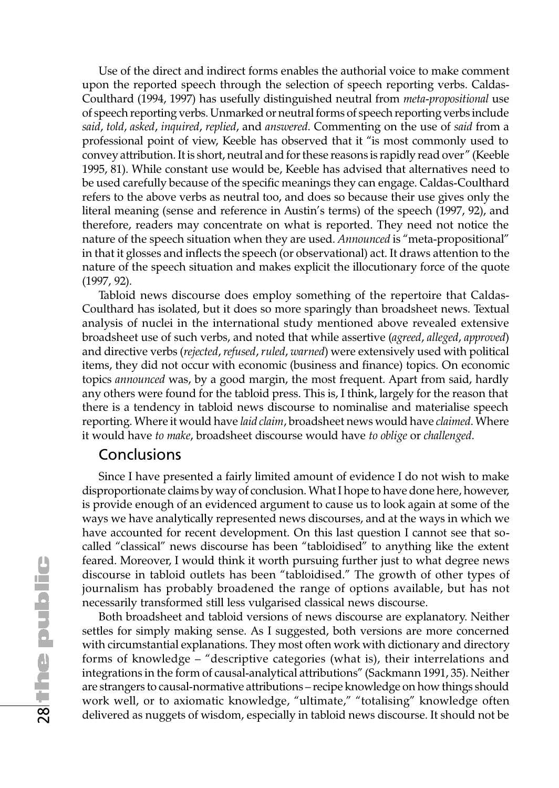Use of the direct and indirect forms enables the authorial voice to make comment upon the reported speech through the selection of speech reporting verbs. Caldas-Coulthard (1994, 1997) has usefully distinguished neutral from meta-propositional use of speech reporting verbs. Unmarked or neutral forms of speech reporting verbs include said, told, asked, inquired, replied, and answered. Commenting on the use of said from a professional point of view, Keeble has observed that it "is most commonly used to convey attribution. It is short, neutral and for these reasons is rapidly read over" (Keeble 1995, 81). While constant use would be, Keeble has advised that alternatives need to be used carefully because of the specific meanings they can engage. Caldas-Coulthard refers to the above verbs as neutral too, and does so because their use gives only the literal meaning (sense and reference in Austin's terms) of the speech (1997, 92), and therefore, readers may concentrate on what is reported. They need not notice the nature of the speech situation when they are used. Announced is "meta-propositional" in that it glosses and inflects the speech (or observational) act. It draws attention to the nature of the speech situation and makes explicit the illocutionary force of the quote (1997, 92).

Tabloid news discourse does employ something of the repertoire that Caldas-Coulthard has isolated, but it does so more sparingly than broadsheet news. Textual analysis of nuclei in the international study mentioned above revealed extensive broadsheet use of such verbs, and noted that while assertive (agreed, alleged, approved) and directive verbs (rejected, refused, ruled, warned) were extensively used with political items, they did not occur with economic (business and finance) topics. On economic topics announced was, by a good margin, the most frequent. Apart from said, hardly any others were found for the tabloid press. This is, I think, largely for the reason that there is a tendency in tabloid news discourse to nominalise and materialise speech reporting. Where it would have *laid claim*, broadsheet news would have *claimed*. Where it would have to make, broadsheet discourse would have to oblige or challenged.

### **Conclusions**

Since I have presented a fairly limited amount of evidence I do not wish to make disproportionate claims by way of conclusion. What I hope to have done here, however, is provide enough of an evidenced argument to cause us to look again at some of the ways we have analytically represented news discourses, and at the ways in which we have accounted for recent development. On this last question I cannot see that socalled "classical" news discourse has been "tabloidised" to anything like the extent feared. Moreover, I would think it worth pursuing further just to what degree news discourse in tabloid outlets has been "tabloidised." The growth of other types of journalism has probably broadened the range of options available, but has not necessarily transformed still less vulgarised classical news discourse.

Both broadsheet and tabloid versions of news discourse are explanatory. Neither settles for simply making sense. As I suggested, both versions are more concerned with circumstantial explanations. They most often work with dictionary and directory forms of knowledge  $-$  "descriptive categories (what is), their interrelations and integrations in the form of causal-analytical attributions" (Sackmann 1991, 35). Neither are strangers to causal-normative attributions - recipe knowledge on how things should work well, or to axiomatic knowledge, "ultimate," "totalising" knowledge often delivered as nuggets of wisdom, especially in tabloid news discourse. It should not be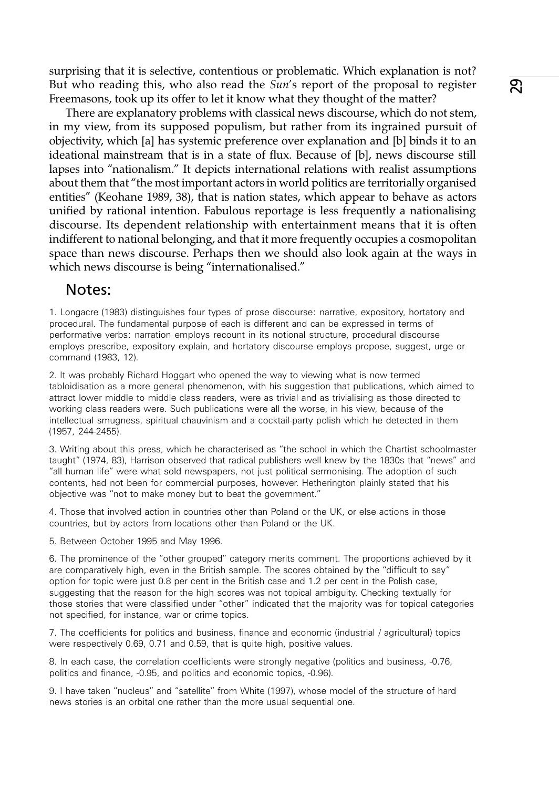surprising that it is selective, contentious or problematic. Which explanation is not? But who reading this, who also read the  $Sun's$  report of the proposal to register Freemasons, took up its offer to let it know what they thought of the matter?

There are explanatory problems with classical news discourse, which do not stem, in my view, from its supposed populism, but rather from its ingrained pursuit of objectivity, which [a] has systemic preference over explanation and [b] binds it to an ideational mainstream that is in a state of flux. Because of [b], news discourse still lapses into "nationalism." It depicts international relations with realist assumptions about them that "the most important actors in world politics are territorially organised entities" (Keohane 1989, 38), that is nation states, which appear to behave as actors unified by rational intention. Fabulous reportage is less frequently a nationalising discourse. Its dependent relationship with entertainment means that it is often indifferent to national belonging, and that it more frequently occupies a cosmopolitan space than news discourse. Perhaps then we should also look again at the ways in which news discourse is being "internationalised."

### Notes:

1. Longacre (1983) distinguishes four types of prose discourse: narrative, expository, hortatory and procedural. The fundamental purpose of each is different and can be expressed in terms of performative verbs: narration employs recount in its notional structure, procedural discourse employs prescribe, expository explain, and hortatory discourse employs propose, suggest, urge or command (1983, 12).

2. It was probably Richard Hoggart who opened the way to viewing what is now termed tabloidisation as a more general phenomenon, with his suggestion that publications, which aimed to attract lower middle to middle class readers, were as trivial and as trivialising as those directed to working class readers were. Such publications were all the worse, in his view, because of the intellectual smugness, spiritual chauvinism and a cocktail-party polish which he detected in them (1957, 244-2455).

3. Writing about this press, which he characterised as "the school in which the Chartist schoolmaster taught" (1974, 83), Harrison observed that radical publishers well knew by the 1830s that "news" and "all human life" were what sold newspapers, not just political sermonising. The adoption of such contents, had not been for commercial purposes, however. Hetherington plainly stated that his objective was "not to make money but to beat the government."

4. Those that involved action in countries other than Poland or the UK, or else actions in those countries, but by actors from locations other than Poland or the UK.

5. Between October 1995 and May 1996.

6. The prominence of the "other grouped" category merits comment. The proportions achieved by it are comparatively high, even in the British sample. The scores obtained by the "difficult to say" option for topic were just 0.8 per cent in the British case and 1.2 per cent in the Polish case, suggesting that the reason for the high scores was not topical ambiguity. Checking textually for those stories that were classified under "other" indicated that the majority was for topical categories not specified, for instance, war or crime topics.

7. The coefficients for politics and business, finance and economic (industrial / agricultural) topics were respectively 0.69, 0.71 and 0.59, that is quite high, positive values.

8. In each case, the correlation coefficients were strongly negative (politics and business, -0.76, politics and finance, -0.95, and politics and economic topics, -0.96).

9. I have taken "nucleus" and "satellite" from White (1997), whose model of the structure of hard news stories is an orbital one rather than the more usual sequential one.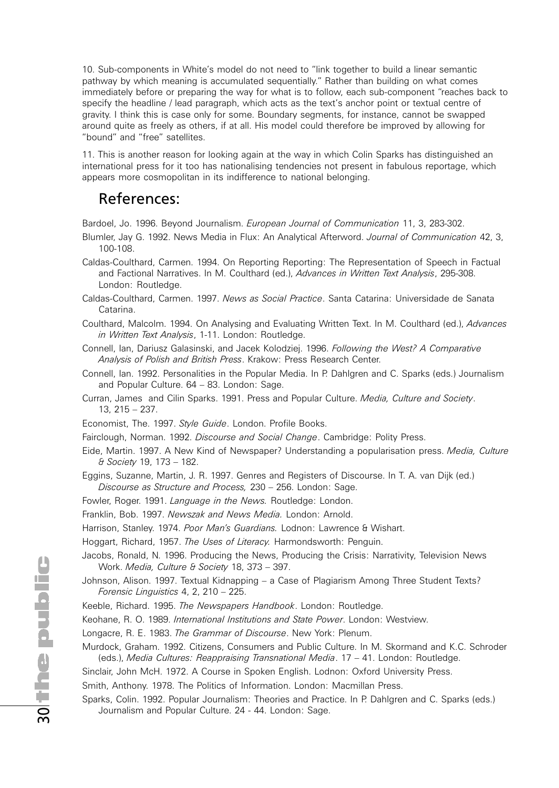10. Sub-components in White's model do not need to "link together to build a linear semantic pathway by which meaning is accumulated sequentially." Rather than building on what comes immediately before or preparing the way for what is to follow, each sub-component "reaches back to specify the headline / lead paragraph, which acts as the text's anchor point or textual centre of gravity. I think this is case only for some. Boundary segments, for instance, cannot be swapped around quite as freely as others, if at all. His model could therefore be improved by allowing for "bound" and "free" satellites.

11. This is another reason for looking again at the way in which Colin Sparks has distinguished an international press for it too has nationalising tendencies not present in fabulous reportage, which appears more cosmopolitan in its indifference to national belonging.

### References:

Bardoel, Jo. 1996. Beyond Journalism. European Journal of Communication 11, 3, 283-302.

- Blumler, Jay G. 1992. News Media in Flux: An Analytical Afterword. Journal of Communication 42, 3, 100-108.
- Caldas-Coulthard, Carmen. 1994. On Reporting Reporting: The Representation of Speech in Factual and Factional Narratives. In M. Coulthard (ed.), Advances in Written Text Analysis, 295-308. London: Routledge.
- Caldas-Coulthard, Carmen. 1997. News as Social Practice. Santa Catarina: Universidade de Sanata Catarina.

Coulthard, Malcolm. 1994. On Analysing and Evaluating Written Text. In M. Coulthard (ed.), Advances in Written Text Analysis, 1-11. London: Routledge.

Connell, Ian, Dariusz Galasinski, and Jacek Kolodziej. 1996. Following the West? A Comparative Analysis of Polish and British Press. Krakow: Press Research Center.

Connell, Ian. 1992. Personalities in the Popular Media. In P. Dahlgren and C. Sparks (eds.) Journalism and Popular Culture.  $64 - 83$ . London: Sage.

Curran, James and Cilin Sparks. 1991. Press and Popular Culture. Media, Culture and Society.  $13.215 - 237.$ 

Economist, The. 1997. Style Guide. London. Profile Books.

Fairclough, Norman. 1992. Discourse and Social Change. Cambridge: Polity Press.

- Eide, Martin. 1997. A New Kind of Newspaper? Understanding a popularisation press. Media, Culture & Society 19, 173 - 182.
- Eggins, Suzanne, Martin, J. R. 1997. Genres and Registers of Discourse. In T. A. van Dijk (ed.) Discourse as Structure and Process, 230 - 256. London: Sage.
- Fowler, Roger. 1991. *Language in the News.* Routledge: London.
- Franklin, Bob. 1997. Newszak and News Media. London: Arnold.
- Harrison, Stanley. 1974. Poor Man's Guardians. Lodnon: Lawrence & Wishart.
- Hoggart, Richard, 1957. The Uses of Literacy. Harmondsworth: Penguin.

Jacobs, Ronald, N. 1996. Producing the News, Producing the Crisis: Narrativity, Television News Work. Media, Culture & Society 18, 373 - 397.

- Johnson, Alison. 1997. Textual Kidnapping a Case of Plagiarism Among Three Student Texts? Forensic Linguistics 4, 2, 210 - 225.
- Keeble, Richard. 1995. The Newspapers Handbook. London: Routledge.

Keohane, R. O. 1989. International Institutions and State Power. London: Westview.

- Longacre, R. E. 1983. The Grammar of Discourse. New York: Plenum.
- Murdock, Graham. 1992. Citizens, Consumers and Public Culture. In M. Skormand and K.C. Schroder (eds.), Media Cultures: Reappraising Transnational Media. 17 - 41. London: Routledge.
- Sinclair, John McH. 1972. A Course in Spoken English. Lodnon: Oxford University Press.
- Smith, Anthony. 1978. The Politics of Information. London: Macmillan Press.
- Sparks, Colin. 1992. Popular Journalism: Theories and Practice. In P. Dahlgren and C. Sparks (eds.) Journalism and Popular Culture. 24 - 44. London: Sage.